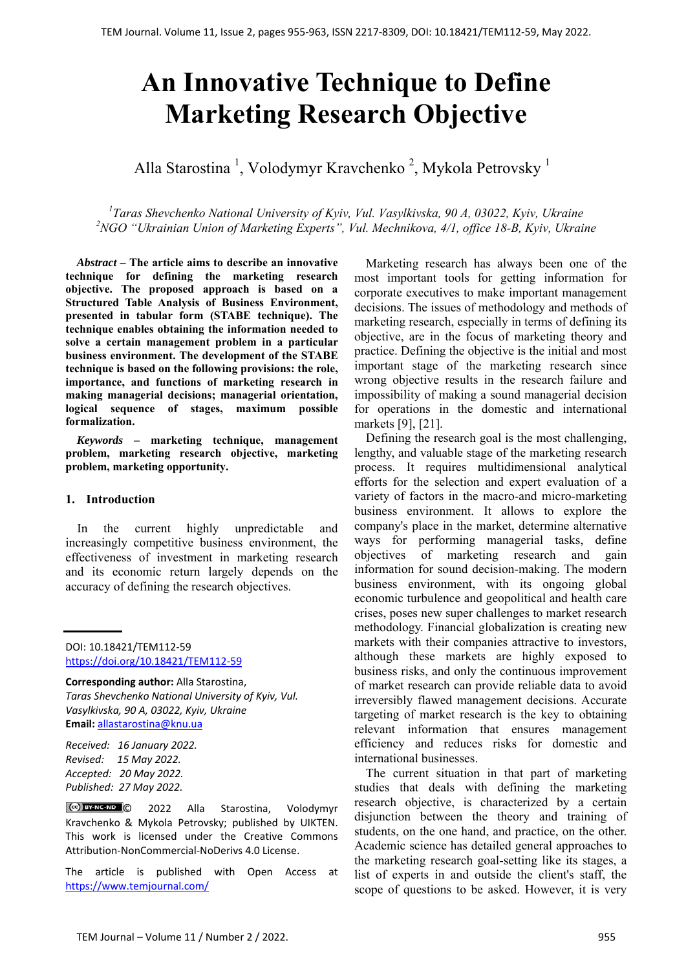# **An Innovative Technique to Define Marketing Research Objective**

Alla Starostina<sup>1</sup>, Volodymyr Kravchenko<sup>2</sup>, Mykola Petrovsky<sup>1</sup>

<sup>1</sup> Taras Shevchenko National University of Kyiv, Vul. Vasylkivska, 90 A, 03022, Kyiv, Ukraine <sup>2</sup>NGO "Ukrainian Union of Marketing Experts", Vul. Mechnikova, 4/1, office 18-B, Kyiv, Ukraine

*Abstract –* **The article aims to describe an innovative technique for defining the marketing research objective. The proposed approach is based on a Structured Table Analysis of Business Environment, presented in tabular form (STABE technique). The technique enables obtaining the information needed to solve a certain management problem in a particular business environment. The development of the STABE technique is based on the following provisions: the role, importance, and functions of marketing research in making managerial decisions; managerial orientation, logical sequence of stages, maximum possible formalization.** 

*Keywords –* **marketing technique, management problem, marketing research objective, marketing problem, marketing opportunity.** 

#### **1. Introduction**

In the current highly unpredictable and increasingly competitive business environment, the effectiveness of investment in marketing research and its economic return largely depends on the accuracy of defining the research objectives.

DOI: 10.18421/TEM112-59 [https://doi.org/10.18421/TEM112](https://doi.org/10.18421/TEM112-59)-59

**Corresponding author:** Alla Starostina, *Taras Shevchenko National University of Kyiv, Vul. Vasylkivska, 90 A, 03022, Kyiv, Ukraine*  **Email:** allastarostina@knu.ua

*Received: 16 January 2022. Revised: 15 May 2022. Accepted: 20 May 2022. Published: 27 May 2022.* 

© 2022 Alla Starostina, Volodymyr Kravchenko & Mykola Petrovsky; published by UIKTEN. This work is licensed under the Creative Commons Attribution‐NonCommercial‐NoDerivs 4.0 License.

The article is published with Open Access at https://www.temjournal.com/

Marketing research has always been one of the most important tools for getting information for corporate executives to make important management decisions. The issues of methodology and methods of marketing research, especially in terms of defining its objective, are in the focus of marketing theory and practice. Defining the objective is the initial and most important stage of the marketing research since wrong objective results in the research failure and impossibility of making a sound managerial decision for operations in the domestic and international markets [9], [21].

Defining the research goal is the most challenging, lengthy, and valuable stage of the marketing research process. It requires multidimensional analytical efforts for the selection and expert evaluation of a variety of factors in the macro-and micro-marketing business environment. It allows to explore the company's place in the market, determine alternative ways for performing managerial tasks, define objectives of marketing research and gain information for sound decision-making. The modern business environment, with its ongoing global economic turbulence and geopolitical and health care crises, poses new super challenges to market research methodology. Financial globalization is creating new markets with their companies attractive to investors, although these markets are highly exposed to business risks, and only the continuous improvement of market research can provide reliable data to avoid irreversibly flawed management decisions. Accurate targeting of market research is the key to obtaining relevant information that ensures management efficiency and reduces risks for domestic and international businesses.

The current situation in that part of marketing studies that deals with defining the marketing research objective, is characterized by a certain disjunction between the theory and training of students, on the one hand, and practice, on the other. Academic science has detailed general approaches to the marketing research goal-setting like its stages, a list of experts in and outside the client's staff, the scope of questions to be asked. However, it is very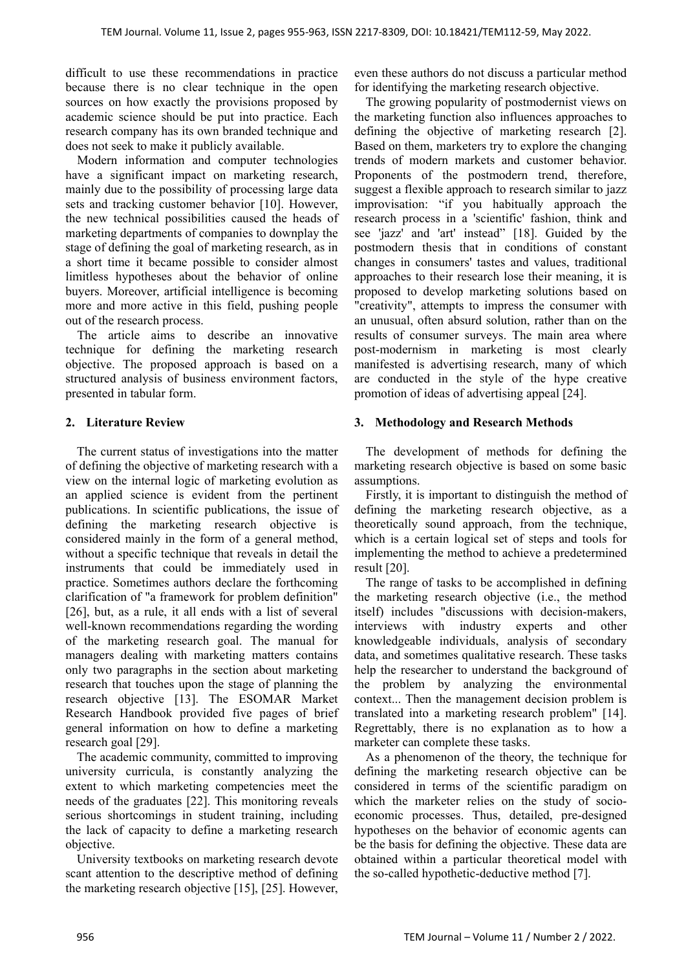difficult to use these recommendations in practice because there is no clear technique in the open sources on how exactly the provisions proposed by academic science should be put into practice. Each research company has its own branded technique and does not seek to make it publicly available.

Modern information and computer technologies have a significant impact on marketing research, mainly due to the possibility of processing large data sets and tracking customer behavior [10]. However, the new technical possibilities caused the heads of marketing departments of companies to downplay the stage of defining the goal of marketing research, as in a short time it became possible to consider almost limitless hypotheses about the behavior of online buyers. Moreover, artificial intelligence is becoming more and more active in this field, pushing people out of the research process.

The article aims to describe an innovative technique for defining the marketing research objective. The proposed approach is based on a structured analysis of business environment factors, presented in tabular form.

## **2. Literature Review**

The current status of investigations into the matter of defining the objective of marketing research with a view on the internal logic of marketing evolution as an applied science is evident from the pertinent publications. In scientific publications, the issue of defining the marketing research objective is considered mainly in the form of a general method, without a specific technique that reveals in detail the instruments that could be immediately used in practice. Sometimes authors declare the forthcoming clarification of "a framework for problem definition" [26], but, as a rule, it all ends with a list of several well-known recommendations regarding the wording of the marketing research goal. The manual for managers dealing with marketing matters contains only two paragraphs in the section about marketing research that touches upon the stage of planning the research objective [13]. The ESOMAR Market Research Handbook provided five pages of brief general information on how to define a marketing research goal [29].

The academic community, committed to improving university curricula, is constantly analyzing the extent to which marketing competencies meet the needs of the graduates [22]. This monitoring reveals serious shortcomings in student training, including the lack of capacity to define a marketing research objective.

University textbooks on marketing research devote scant attention to the descriptive method of defining the marketing research objective [15], [25]. However,

even these authors do not discuss a particular method for identifying the marketing research objective.

The growing popularity of postmodernist views on the marketing function also influences approaches to defining the objective of marketing research [2]. Based on them, marketers try to explore the changing trends of modern markets and customer behavior. Proponents of the postmodern trend, therefore, suggest a flexible approach to research similar to jazz improvisation: "if you habitually approach the research process in a 'scientific' fashion, think and see 'jazz' and 'art' instead" [18]. Guided by the postmodern thesis that in conditions of constant changes in consumers' tastes and values, traditional approaches to their research lose their meaning, it is proposed to develop marketing solutions based on "creativity", attempts to impress the consumer with an unusual, often absurd solution, rather than on the results of consumer surveys. The main area where post-modernism in marketing is most clearly manifested is advertising research, many of which are conducted in the style of the hype creative promotion of ideas of advertising appeal [24].

# **3. Methodology and Research Methods**

The development of methods for defining the marketing research objective is based on some basic assumptions.

Firstly, it is important to distinguish the method of defining the marketing research objective, as a theoretically sound approach, from the technique, which is a certain logical set of steps and tools for implementing the method to achieve a predetermined result [20].

The range of tasks to be accomplished in defining the marketing research objective (i.e., the method itself) includes "discussions with decision-makers, interviews with industry experts and other knowledgeable individuals, analysis of secondary data, and sometimes qualitative research. These tasks help the researcher to understand the background of the problem by analyzing the environmental context... Then the management decision problem is translated into a marketing research problem" [14]. Regrettably, there is no explanation as to how a marketer can complete these tasks.

As a phenomenon of the theory, the technique for defining the marketing research objective can be considered in terms of the scientific paradigm on which the marketer relies on the study of socioeconomic processes. Thus, detailed, pre-designed hypotheses on the behavior of economic agents can be the basis for defining the objective. These data are obtained within a particular theoretical model with the so-called hypothetic-deductive method [7].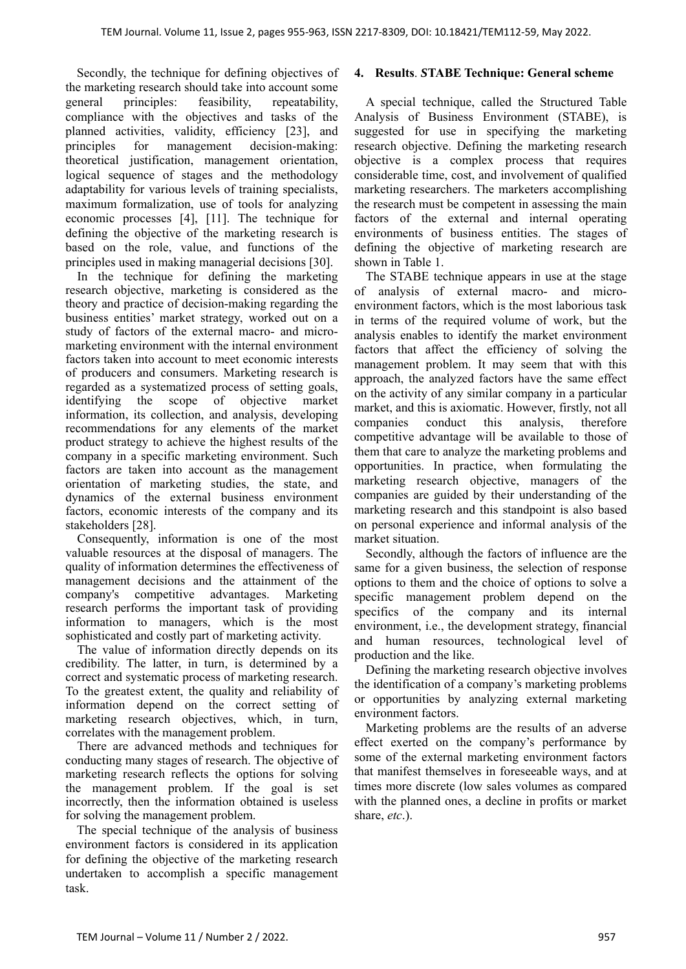Secondly, the technique for defining objectives of the marketing research should take into account some general principles: feasibility, repeatability, compliance with the objectives and tasks of the planned activities, validity, efficiency [23], and principles for management decision-making: theoretical justification, management orientation, logical sequence of stages and the methodology adaptability for various levels of training specialists, maximum formalization, use of tools for analyzing economic processes [4], [11]. The technique for defining the objective of the marketing research is based on the role, value, and functions of the principles used in making managerial decisions [30].

In the technique for defining the marketing research objective, marketing is considered as the theory and practice of decision-making regarding the business entities' market strategy, worked out on a study of factors of the external macro- and micromarketing environment with the internal environment factors taken into account to meet economic interests of producers and consumers. Marketing research is regarded as a systematized process of setting goals, identifying the scope of objective market information, its collection, and analysis, developing recommendations for any elements of the market product strategy to achieve the highest results of the company in a specific marketing environment. Such factors are taken into account as the management orientation of marketing studies, the state, and dynamics of the external business environment factors, economic interests of the company and its stakeholders [28].

Consequently, information is one of the most valuable resources at the disposal of managers. The quality of information determines the effectiveness of management decisions and the attainment of the company's competitive advantages. Marketing research performs the important task of providing information to managers, which is the most sophisticated and costly part of marketing activity.

The value of information directly depends on its credibility. The latter, in turn, is determined by a correct and systematic process of marketing research. To the greatest extent, the quality and reliability of information depend on the correct setting of marketing research objectives, which, in turn, correlates with the management problem.

There are advanced methods and techniques for conducting many stages of research. The objective of marketing research reflects the options for solving the management problem. If the goal is set incorrectly, then the information obtained is useless for solving the management problem.

The special technique of the analysis of business environment factors is considered in its application for defining the objective of the marketing research undertaken to accomplish a specific management task.

### **4. Results**. *S***TABE Technique: General scheme**

A special technique, called the Structured Table Analysis of Business Environment (STABE), is suggested for use in specifying the marketing research objective. Defining the marketing research objective is a complex process that requires considerable time, cost, and involvement of qualified marketing researchers. The marketers accomplishing the research must be competent in assessing the main factors of the external and internal operating environments of business entities. The stages of defining the objective of marketing research are shown in Table 1.

The STABE technique appears in use at the stage of analysis of external macro- and microenvironment factors, which is the most laborious task in terms of the required volume of work, but the analysis enables to identify the market environment factors that affect the efficiency of solving the management problem. It may seem that with this approach, the analyzed factors have the same effect on the activity of any similar company in a particular market, and this is axiomatic. However, firstly, not all companies conduct this analysis, therefore competitive advantage will be available to those of them that care to analyze the marketing problems and opportunities. In practice, when formulating the marketing research objective, managers of the companies are guided by their understanding of the marketing research and this standpoint is also based on personal experience and informal analysis of the market situation.

Secondly, although the factors of influence are the same for a given business, the selection of response options to them and the choice of options to solve a specific management problem depend on the specifics of the company and its internal environment, i.e., the development strategy, financial and human resources, technological level of production and the like.

Defining the marketing research objective involves the identification of a company's marketing problems or opportunities by analyzing external marketing environment factors.

Marketing problems are the results of an adverse effect exerted on the company's performance by some of the external marketing environment factors that manifest themselves in foreseeable ways, and at times more discrete (low sales volumes as compared with the planned ones, a decline in profits or market share, *etc*.).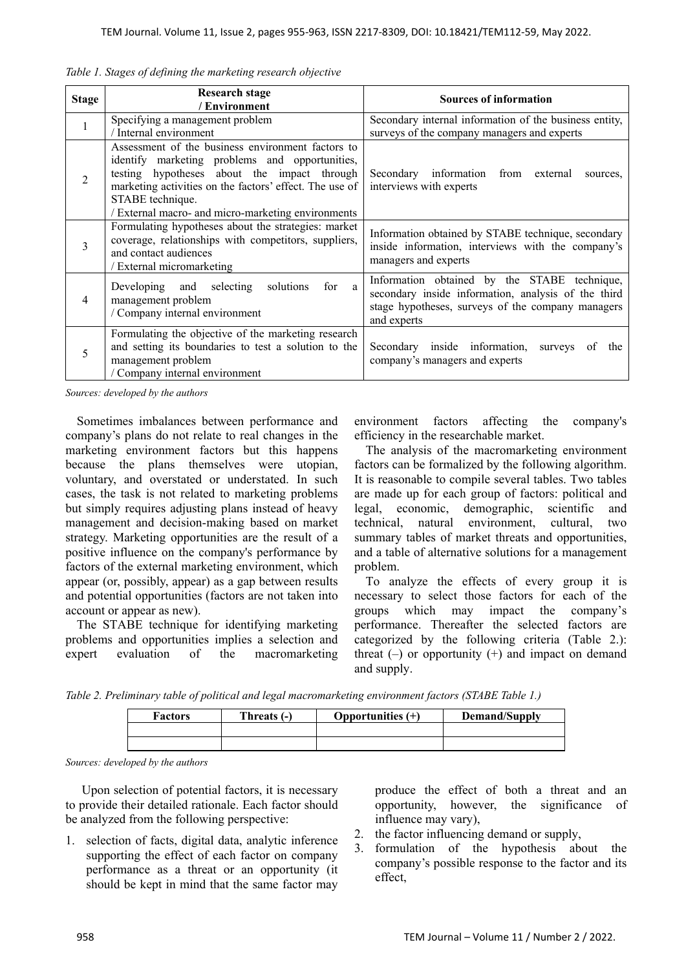|  |  |  |  |  |  |  | Table 1. Stages of defining the marketing research objective |  |  |
|--|--|--|--|--|--|--|--------------------------------------------------------------|--|--|
|--|--|--|--|--|--|--|--------------------------------------------------------------|--|--|

| <b>Stage</b> | <b>Research stage</b><br>/ Environment                                                                                                                                                                                                                                                  | <b>Sources of information</b>                                                                                                                                           |
|--------------|-----------------------------------------------------------------------------------------------------------------------------------------------------------------------------------------------------------------------------------------------------------------------------------------|-------------------------------------------------------------------------------------------------------------------------------------------------------------------------|
| $\mathbf{1}$ | Specifying a management problem<br>/ Internal environment                                                                                                                                                                                                                               | Secondary internal information of the business entity,<br>surveys of the company managers and experts                                                                   |
| 2            | Assessment of the business environment factors to<br>identify marketing problems and opportunities,<br>testing hypotheses about the impact through<br>marketing activities on the factors' effect. The use of<br>STABE technique.<br>/ External macro- and micro-marketing environments | Secondary information<br>from external<br>sources,<br>interviews with experts                                                                                           |
| 3            | Formulating hypotheses about the strategies: market<br>coverage, relationships with competitors, suppliers,<br>and contact audiences<br>/ External micromarketing                                                                                                                       | Information obtained by STABE technique, secondary<br>inside information, interviews with the company's<br>managers and experts                                         |
| 4            | Developing and selecting solutions<br>for<br>a<br>management problem<br>/ Company internal environment                                                                                                                                                                                  | Information obtained by the STABE technique,<br>secondary inside information, analysis of the third<br>stage hypotheses, surveys of the company managers<br>and experts |
| 5            | Formulating the objective of the marketing research<br>and setting its boundaries to test a solution to the<br>management problem<br>/ Company internal environment                                                                                                                     | Secondary inside information, surveys<br>of<br>the<br>company's managers and experts                                                                                    |

*Sources: developed by the authors* 

Sometimes imbalances between performance and company's plans do not relate to real changes in the marketing environment factors but this happens because the plans themselves were utopian, voluntary, and overstated or understated. In such cases, the task is not related to marketing problems but simply requires adjusting plans instead of heavy management and decision-making based on market strategy. Marketing opportunities are the result of a positive influence on the company's performance by factors of the external marketing environment, which appear (or, possibly, appear) as a gap between results and potential opportunities (factors are not taken into account or appear as new).

The STABE technique for identifying marketing problems and opportunities implies a selection and expert evaluation of the macromarketing environment factors affecting the company's efficiency in the researchable market.

The analysis of the macromarketing environment factors can be formalized by the following algorithm. It is reasonable to compile several tables. Two tables are made up for each group of factors: political and legal, economic, demographic, scientific and technical, natural environment, cultural, two summary tables of market threats and opportunities, and a table of alternative solutions for a management problem.

To analyze the effects of every group it is necessary to select those factors for each of the groups which may impact the company's performance. Thereafter the selected factors are categorized by the following criteria (Table 2.): threat  $(-)$  or opportunity  $(+)$  and impact on demand and supply.

*Table 2. Preliminary table of political and legal macromarketing environment factors (STABE Table 1.)* 

| <b>Factors</b> | Threats (-) | Opportunities $(+)$ | Demand/Supply |
|----------------|-------------|---------------------|---------------|
|                |             |                     |               |
|                |             |                     |               |

*Sources: developed by the authors* 

Upon selection of potential factors, it is necessary to provide their detailed rationale. Each factor should be analyzed from the following perspective:

1. selection of facts, digital data, analytic inference supporting the effect of each factor on company performance as a threat or an opportunity (it should be kept in mind that the same factor may

produce the effect of both a threat and an opportunity, however, the significance of influence may vary),

- 2. the factor influencing demand or supply,
- 3. formulation of the hypothesis about the company's possible response to the factor and its effect,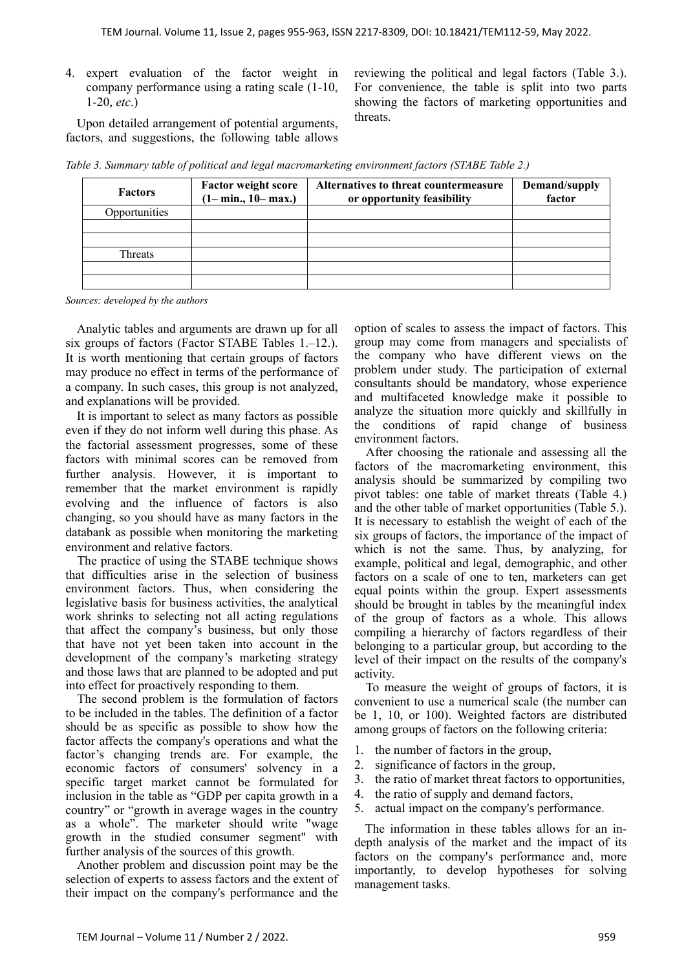4. expert evaluation of the factor weight in company performance using a rating scale (1-10, 1-20, *etc*.)

Upon detailed arrangement of potential arguments, factors, and suggestions, the following table allows reviewing the political and legal factors (Table 3.). For convenience, the table is split into two parts showing the factors of marketing opportunities and threats.

*Table 3. Summary table of political and legal macromarketing environment factors (STABE Table 2.)* 

| <b>Factors</b> | <b>Factor weight score</b><br>$(1 - min., 10 - max.)$ | Alternatives to threat countermeasure<br>or opportunity feasibility | Demand/supply<br>factor |
|----------------|-------------------------------------------------------|---------------------------------------------------------------------|-------------------------|
| Opportunities  |                                                       |                                                                     |                         |
|                |                                                       |                                                                     |                         |
|                |                                                       |                                                                     |                         |
| Threats        |                                                       |                                                                     |                         |
|                |                                                       |                                                                     |                         |
|                |                                                       |                                                                     |                         |

*Sources: developed by the authors* 

Analytic tables and arguments are drawn up for all six groups of factors (Factor STABE Tables 1.–12.). It is worth mentioning that certain groups of factors may produce no effect in terms of the performance of a company. In such cases, this group is not analyzed, and explanations will be provided.

It is important to select as many factors as possible even if they do not inform well during this phase. As the factorial assessment progresses, some of these factors with minimal scores can be removed from further analysis. However, it is important to remember that the market environment is rapidly evolving and the influence of factors is also changing, so you should have as many factors in the databank as possible when monitoring the marketing environment and relative factors.

The practice of using the STABE technique shows that difficulties arise in the selection of business environment factors. Thus, when considering the legislative basis for business activities, the analytical work shrinks to selecting not all acting regulations that affect the company's business, but only those that have not yet been taken into account in the development of the company's marketing strategy and those laws that are planned to be adopted and put into effect for proactively responding to them.

The second problem is the formulation of factors to be included in the tables. The definition of a factor should be as specific as possible to show how the factor affects the company's operations and what the factor's changing trends are. For example, the economic factors of consumers' solvency in a specific target market cannot be formulated for inclusion in the table as "GDP per capita growth in a country" or "growth in average wages in the country as a whole". The marketer should write "wage growth in the studied consumer segment" with further analysis of the sources of this growth.

Another problem and discussion point may be the selection of experts to assess factors and the extent of their impact on the company's performance and the

option of scales to assess the impact of factors. This group may come from managers and specialists of the company who have different views on the problem under study. The participation of external consultants should be mandatory, whose experience and multifaceted knowledge make it possible to analyze the situation more quickly and skillfully in the conditions of rapid change of business environment factors.

After choosing the rationale and assessing all the factors of the macromarketing environment, this analysis should be summarized by compiling two pivot tables: one table of market threats (Table 4.) and the other table of market opportunities (Table 5.). It is necessary to establish the weight of each of the six groups of factors, the importance of the impact of which is not the same. Thus, by analyzing, for example, political and legal, demographic, and other factors on a scale of one to ten, marketers can get equal points within the group. Expert assessments should be brought in tables by the meaningful index of the group of factors as a whole. This allows compiling a hierarchy of factors regardless of their belonging to a particular group, but according to the level of their impact on the results of the company's activity.

To measure the weight of groups of factors, it is convenient to use a numerical scale (the number can be 1, 10, or 100). Weighted factors are distributed among groups of factors on the following criteria:

- 1. the number of factors in the group,
- 2. significance of factors in the group,
- 3. the ratio of market threat factors to opportunities,
- 4. the ratio of supply and demand factors,
- 5. actual impact on the company's performance.

The information in these tables allows for an indepth analysis of the market and the impact of its factors on the company's performance and, more importantly, to develop hypotheses for solving management tasks.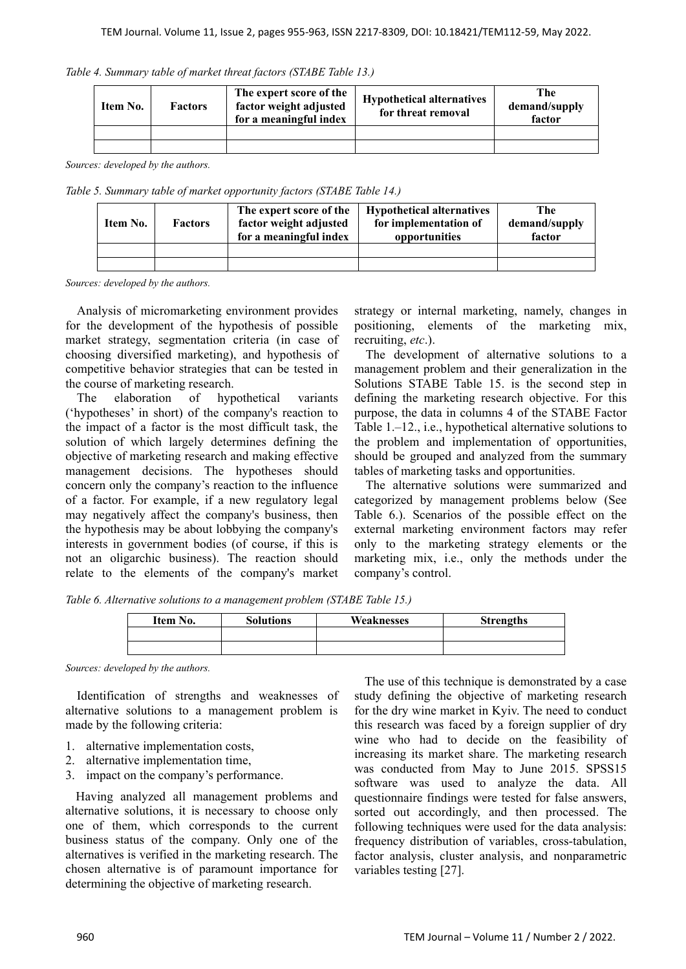|  |  | Table 4. Summary table of market threat factors (STABE Table 13.) |  |
|--|--|-------------------------------------------------------------------|--|
|  |  |                                                                   |  |

| Item No. | <b>Factors</b> | The expert score of the<br>factor weight adjusted<br>for a meaningful index | <b>Hypothetical alternatives</b><br>for threat removal | The<br>demand/supply<br>factor |
|----------|----------------|-----------------------------------------------------------------------------|--------------------------------------------------------|--------------------------------|
|          |                |                                                                             |                                                        |                                |
|          |                |                                                                             |                                                        |                                |

*Sources: developed by the authors.* 

*Table 5. Summary table of market opportunity factors (STABE Table 14.)* 

| Item No. | The expert score of the<br>factor weight adjusted<br><b>Factors</b><br>for a meaningful index |  | <b>Hypothetical alternatives</b><br>for implementation of<br>opportunities | The<br>demand/supply<br>factor |  |
|----------|-----------------------------------------------------------------------------------------------|--|----------------------------------------------------------------------------|--------------------------------|--|
|          |                                                                                               |  |                                                                            |                                |  |
|          |                                                                                               |  |                                                                            |                                |  |

*Sources: developed by the authors.* 

Analysis of micromarketing environment provides for the development of the hypothesis of possible market strategy, segmentation criteria (in case of choosing diversified marketing), and hypothesis of competitive behavior strategies that can be tested in the course of marketing research.

The elaboration of hypothetical variants ('hypotheses' in short) of the company's reaction to the impact of a factor is the most difficult task, the solution of which largely determines defining the objective of marketing research and making effective management decisions. The hypotheses should concern only the company's reaction to the influence of a factor. For example, if a new regulatory legal may negatively affect the company's business, then the hypothesis may be about lobbying the company's interests in government bodies (of course, if this is not an oligarchic business). The reaction should relate to the elements of the company's market

strategy or internal marketing, namely, changes in positioning, elements of the marketing mix, recruiting, *etc*.).

The development of alternative solutions to a management problem and their generalization in the Solutions STABE Table 15. is the second step in defining the marketing research objective. For this purpose, the data in columns 4 of the STABE Factor Table 1.–12., i.e., hypothetical alternative solutions to the problem and implementation of opportunities, should be grouped and analyzed from the summary tables of marketing tasks and opportunities.

The alternative solutions were summarized and categorized by management problems below (See Table 6.). Scenarios of the possible effect on the external marketing environment factors may refer only to the marketing strategy elements or the marketing mix, i.e., only the methods under the company's control.

*Table 6. Alternative solutions to a management problem (STABE Table 15.)* 

| Item No. | <b>Solutions</b> | <b>Weaknesses</b> | <b>Strengths</b> |
|----------|------------------|-------------------|------------------|
|          |                  |                   |                  |
|          |                  |                   |                  |

*Sources: developed by the authors.*

Identification of strengths and weaknesses of alternative solutions to a management problem is made by the following criteria:

- 1. alternative implementation costs,
- 2. alternative implementation time,
- 3. impact on the company's performance.

Having analyzed all management problems and alternative solutions, it is necessary to choose only one of them, which corresponds to the current business status of the company. Only one of the alternatives is verified in the marketing research. The chosen alternative is of paramount importance for determining the objective of marketing research.

The use of this technique is demonstrated by a case study defining the objective of marketing research for the dry wine market in Kyiv. The need to conduct this research was faced by a foreign supplier of dry wine who had to decide on the feasibility of increasing its market share. The marketing research was conducted from May to June 2015. SPSS15 software was used to analyze the data. All questionnaire findings were tested for false answers, sorted out accordingly, and then processed. The following techniques were used for the data analysis: frequency distribution of variables, cross-tabulation, factor analysis, cluster analysis, and nonparametric variables testing [27].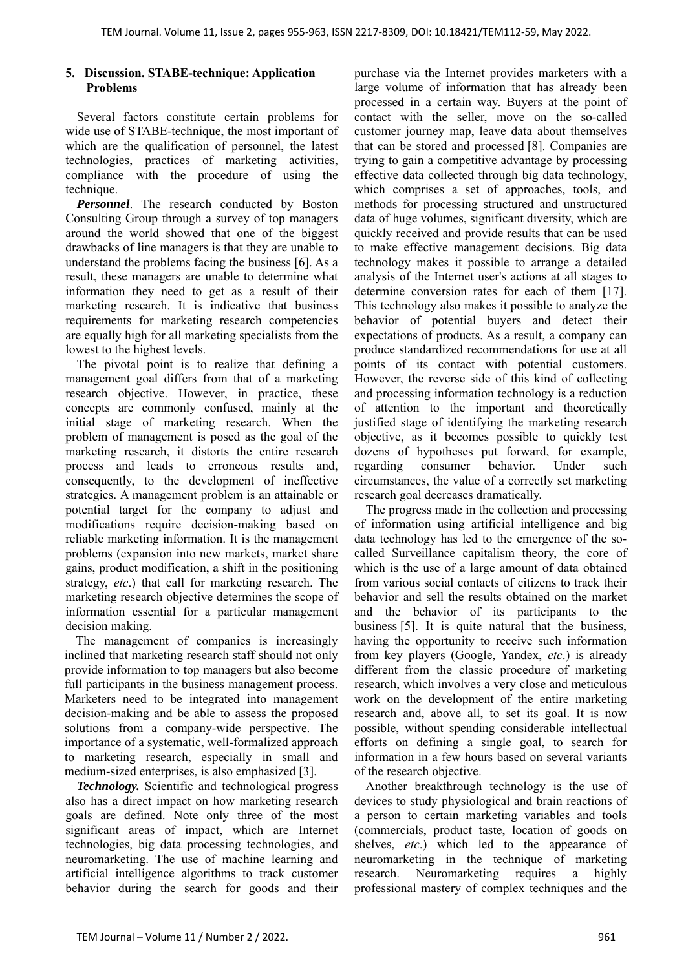# **5. Discussion. STABE-technique: Application Problems**

Several factors constitute certain problems for wide use of STABE-technique, the most important of which are the qualification of personnel, the latest technologies, practices of marketing activities, compliance with the procedure of using the technique.

*Personnel*. The research conducted by Boston Consulting Group through a survey of top managers around the world showed that one of the biggest drawbacks of line managers is that they are unable to understand the problems facing the business [6]. As a result, these managers are unable to determine what information they need to get as a result of their marketing research. It is indicative that business requirements for marketing research competencies are equally high for all marketing specialists from the lowest to the highest levels.

The pivotal point is to realize that defining a management goal differs from that of a marketing research objective. However, in practice, these concepts are commonly confused, mainly at the initial stage of marketing research. When the problem of management is posed as the goal of the marketing research, it distorts the entire research process and leads to erroneous results and, consequently, to the development of ineffective strategies. A management problem is an attainable or potential target for the company to adjust and modifications require decision-making based on reliable marketing information. It is the management problems (expansion into new markets, market share gains, product modification, a shift in the positioning strategy, *etc*.) that call for marketing research. The marketing research objective determines the scope of information essential for a particular management decision making.

The management of companies is increasingly inclined that marketing research staff should not only provide information to top managers but also become full participants in the business management process. Marketers need to be integrated into management decision-making and be able to assess the proposed solutions from a company-wide perspective. The importance of a systematic, well-formalized approach to marketing research, especially in small and medium-sized enterprises, is also emphasized [3].

*Technology.* Scientific and technological progress also has a direct impact on how marketing research goals are defined. Note only three of the most significant areas of impact, which are Internet technologies, big data processing technologies, and neuromarketing. The use of machine learning and artificial intelligence algorithms to track customer behavior during the search for goods and their purchase via the Internet provides marketers with a large volume of information that has already been processed in a certain way. Buyers at the point of contact with the seller, move on the so-called customer journey map, leave data about themselves that can be stored and processed [8]. Companies are trying to gain a competitive advantage by processing effective data collected through big data technology, which comprises a set of approaches, tools, and methods for processing structured and unstructured data of huge volumes, significant diversity, which are quickly received and provide results that can be used to make effective management decisions. Big data technology makes it possible to arrange a detailed analysis of the Internet user's actions at all stages to determine conversion rates for each of them [17]. This technology also makes it possible to analyze the behavior of potential buyers and detect their expectations of products. As a result, a company can produce standardized recommendations for use at all points of its contact with potential customers. However, the reverse side of this kind of collecting and processing information technology is a reduction of attention to the important and theoretically justified stage of identifying the marketing research objective, as it becomes possible to quickly test dozens of hypotheses put forward, for example, regarding consumer behavior. Under such circumstances, the value of a correctly set marketing research goal decreases dramatically.

The progress made in the collection and processing of information using artificial intelligence and big data technology has led to the emergence of the socalled Surveillance capitalism theory, the core of which is the use of a large amount of data obtained from various social contacts of citizens to track their behavior and sell the results obtained on the market and the behavior of its participants to the business [5]. It is quite natural that the business, having the opportunity to receive such information from key players (Google, Yandex, *etc*.) is already different from the classic procedure of marketing research, which involves a very close and meticulous work on the development of the entire marketing research and, above all, to set its goal. It is now possible, without spending considerable intellectual efforts on defining a single goal, to search for information in a few hours based on several variants of the research objective.

Another breakthrough technology is the use of devices to study physiological and brain reactions of a person to certain marketing variables and tools (commercials, product taste, location of goods on shelves, *etc*.) which led to the appearance of neuromarketing in the technique of marketing research. Neuromarketing requires a highly professional mastery of complex techniques and the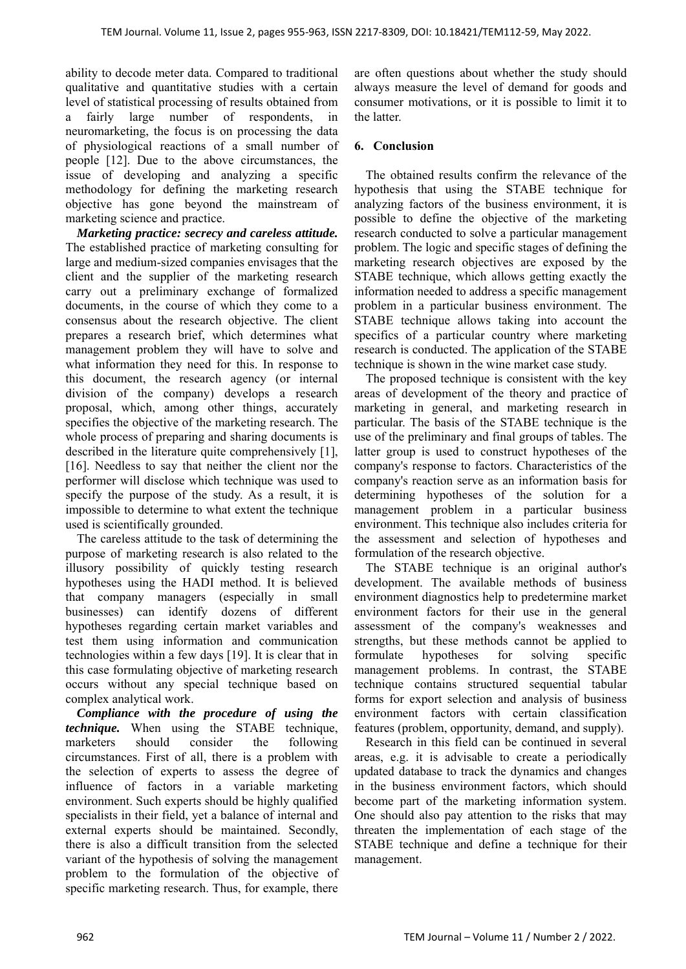ability to decode meter data. Compared to traditional qualitative and quantitative studies with a certain level of statistical processing of results obtained from a fairly large number of respondents, in neuromarketing, the focus is on processing the data of physiological reactions of a small number of people [12]. Due to the above circumstances, the issue of developing and analyzing a specific methodology for defining the marketing research objective has gone beyond the mainstream of marketing science and practice.

*Marketing practice: secrecy and careless attitude.*  The established practice of marketing consulting for large and medium-sized companies envisages that the client and the supplier of the marketing research carry out a preliminary exchange of formalized documents, in the course of which they come to a consensus about the research objective. The client prepares a research brief, which determines what management problem they will have to solve and what information they need for this. In response to this document, the research agency (or internal division of the company) develops a research proposal, which, among other things, accurately specifies the objective of the marketing research. The whole process of preparing and sharing documents is described in the literature quite comprehensively [1], [16]. Needless to say that neither the client nor the performer will disclose which technique was used to specify the purpose of the study. As a result, it is impossible to determine to what extent the technique used is scientifically grounded.

The careless attitude to the task of determining the purpose of marketing research is also related to the illusory possibility of quickly testing research hypotheses using the HADI method. It is believed that company managers (especially in small businesses) can identify dozens of different hypotheses regarding certain market variables and test them using information and communication technologies within a few days [19]. It is clear that in this case formulating objective of marketing research occurs without any special technique based on complex analytical work.

*Compliance with the procedure of using the technique.* When using the STABE technique, marketers should consider the following circumstances. First of all, there is a problem with the selection of experts to assess the degree of influence of factors in a variable marketing environment. Such experts should be highly qualified specialists in their field, yet a balance of internal and external experts should be maintained. Secondly, there is also a difficult transition from the selected variant of the hypothesis of solving the management problem to the formulation of the objective of specific marketing research. Thus, for example, there

are often questions about whether the study should always measure the level of demand for goods and consumer motivations, or it is possible to limit it to the latter.

### **6. Conclusion**

The obtained results confirm the relevance of the hypothesis that using the STABE technique for analyzing factors of the business environment, it is possible to define the objective of the marketing research conducted to solve a particular management problem. The logic and specific stages of defining the marketing research objectives are exposed by the STABE technique, which allows getting exactly the information needed to address a specific management problem in a particular business environment. The STABE technique allows taking into account the specifics of a particular country where marketing research is conducted. The application of the STABE technique is shown in the wine market case study.

The proposed technique is consistent with the key areas of development of the theory and practice of marketing in general, and marketing research in particular. The basis of the STABE technique is the use of the preliminary and final groups of tables. The latter group is used to construct hypotheses of the company's response to factors. Characteristics of the company's reaction serve as an information basis for determining hypotheses of the solution for a management problem in a particular business environment. This technique also includes criteria for the assessment and selection of hypotheses and formulation of the research objective.

The STABE technique is an original author's development. The available methods of business environment diagnostics help to predetermine market environment factors for their use in the general assessment of the company's weaknesses and strengths, but these methods cannot be applied to formulate hypotheses for solving specific management problems. In contrast, the STABE technique contains structured sequential tabular forms for export selection and analysis of business environment factors with certain classification features (problem, opportunity, demand, and supply).

Research in this field can be continued in several areas, e.g. it is advisable to create a periodically updated database to track the dynamics and changes in the business environment factors, which should become part of the marketing information system. One should also pay attention to the risks that may threaten the implementation of each stage of the STABE technique and define a technique for their management.